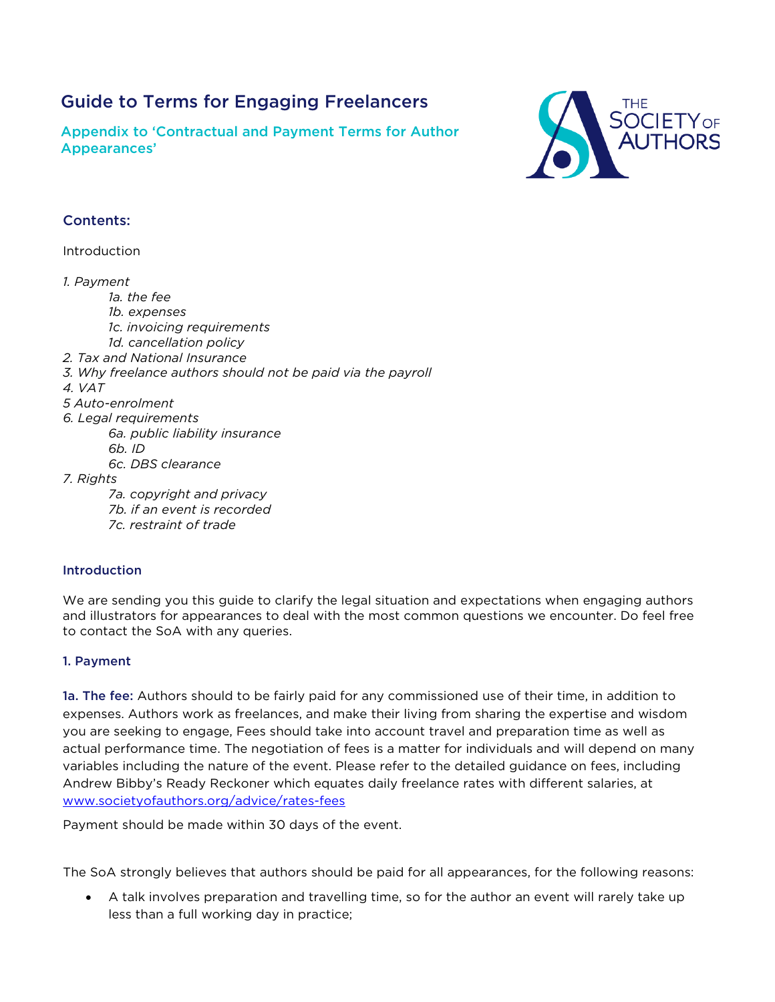# Guide to Terms for Engaging Freelancers

Appendix to 'Contractual and Payment Terms for Author Appearances'



# Contents:

Introduction

*1. Payment*

*1a. the fee 1b. expenses*

- *1c. invoicing requirements*
- *1d. cancellation policy 2. Tax and National Insurance*
- *3. Why freelance authors should not be paid via the payroll*
- *4. VAT*
- *5 Auto-enrolment*
- *6. Legal requirements*
	- *6a. public liability insurance*
	- *6b. ID*

*6c. DBS clearance*

*7. Rights*

*7a. copyright and privacy 7b. if an event is recorded 7c. restraint of trade*

## Introduction

We are sending you this guide to clarify the legal situation and expectations when engaging authors and illustrators for appearances to deal with the most common questions we encounter. Do feel free to contact the SoA with any queries.

## 1. Payment

1a. The fee: Authors should to be fairly paid for any commissioned use of their time, in addition to expenses. Authors work as freelances, and make their living from sharing the expertise and wisdom you are seeking to engage, Fees should take into account travel and preparation time as well as actual performance time. The negotiation of fees is a matter for individuals and will depend on many variables including the nature of the event. Please refer to the detailed guidance on fees, including Andrew Bibby's Ready Reckoner which equates daily freelance rates with different salaries, at [www.societyofauthors.org/advice/rates-fees](http://www.societyofauthors.org/advice/rates-fees)

Payment should be made within 30 days of the event.

The SoA strongly believes that authors should be paid for all appearances, for the following reasons:

• A talk involves preparation and travelling time, so for the author an event will rarely take up less than a full working day in practice;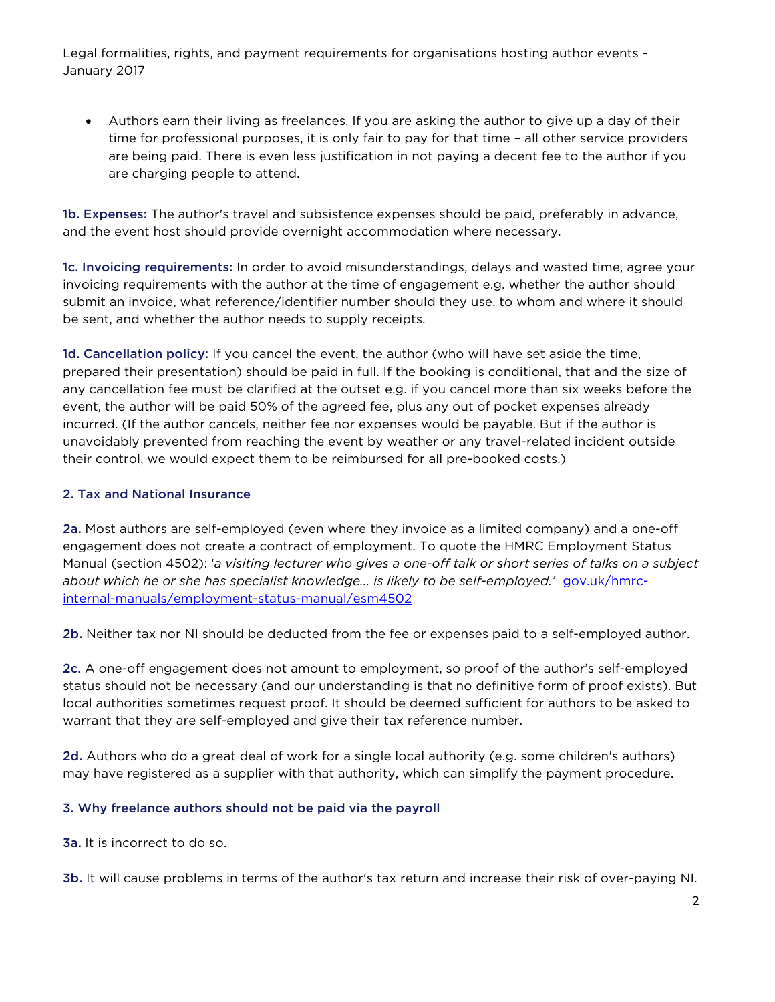• Authors earn their living as freelances. If you are asking the author to give up a day of their time for professional purposes, it is only fair to pay for that time – all other service providers are being paid. There is even less justification in not paying a decent fee to the author if you are charging people to attend.

1b. Expenses: The author's travel and subsistence expenses should be paid, preferably in advance, and the event host should provide overnight accommodation where necessary.

1c. Invoicing requirements: In order to avoid misunderstandings, delays and wasted time, agree your invoicing requirements with the author at the time of engagement e.g. whether the author should submit an invoice, what reference/identifier number should they use, to whom and where it should be sent, and whether the author needs to supply receipts.

1d. Cancellation policy: If you cancel the event, the author (who will have set aside the time, prepared their presentation) should be paid in full. If the booking is conditional, that and the size of any cancellation fee must be clarified at the outset e.g. if you cancel more than six weeks before the event, the author will be paid 50% of the agreed fee, plus any out of pocket expenses already incurred. (If the author cancels, neither fee nor expenses would be payable. But if the author is unavoidably prevented from reaching the event by weather or any travel-related incident outside their control, we would expect them to be reimbursed for all pre-booked costs.)

#### 2. Tax and National Insurance

2a. Most authors are self-employed (even where they invoice as a limited company) and a one-off engagement does not create a contract of employment. To quote the HMRC Employment Status Manual (section 4502): '*a visiting lecturer who gives a one-off talk or short series of talks on a subject about which he or she has specialist knowledge... is likely to be self-employed.'* [gov.uk/hmrc](https://www.gov.uk/hmrc-internal-manuals/employment-status-manual/esm4502)[internal-manuals/employment-status-manual/esm4502](https://www.gov.uk/hmrc-internal-manuals/employment-status-manual/esm4502)

2b. Neither tax nor NI should be deducted from the fee or expenses paid to a self-employed author.

2c. A one-off engagement does not amount to employment, so proof of the author's self-employed status should not be necessary (and our understanding is that no definitive form of proof exists). But local authorities sometimes request proof. It should be deemed sufficient for authors to be asked to warrant that they are self-employed and give their tax reference number.

2d. Authors who do a great deal of work for a single local authority (e.g. some children's authors) may have registered as a supplier with that authority, which can simplify the payment procedure.

## 3. Why freelance authors should not be paid via the payroll

3a. It is incorrect to do so.

3b. It will cause problems in terms of the author's tax return and increase their risk of over-paying NI.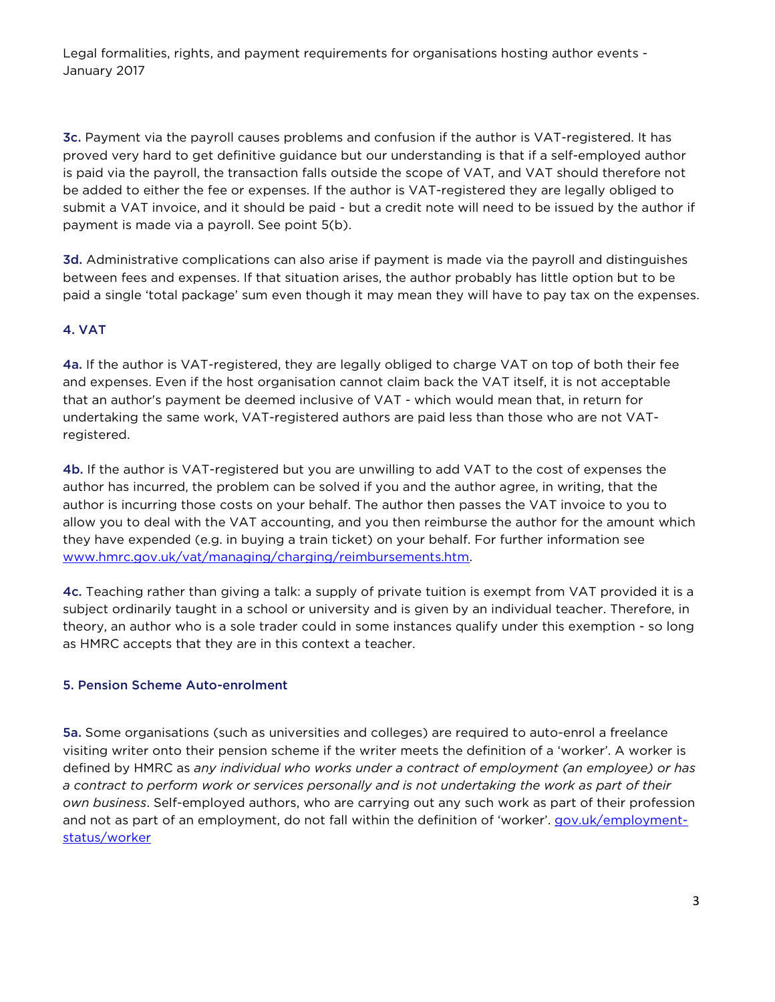3c. Payment via the payroll causes problems and confusion if the author is VAT-registered. It has proved very hard to get definitive guidance but our understanding is that if a self-employed author is paid via the payroll, the transaction falls outside the scope of VAT, and VAT should therefore not be added to either the fee or expenses. If the author is VAT-registered they are legally obliged to submit a VAT invoice, and it should be paid - but a credit note will need to be issued by the author if payment is made via a payroll. See point 5(b).

3d. Administrative complications can also arise if payment is made via the payroll and distinguishes between fees and expenses. If that situation arises, the author probably has little option but to be paid a single 'total package' sum even though it may mean they will have to pay tax on the expenses.

## 4. VAT

4a. If the author is VAT-registered, they are legally obliged to charge VAT on top of both their fee and expenses. Even if the host organisation cannot claim back the VAT itself, it is not acceptable that an author's payment be deemed inclusive of VAT - which would mean that, in return for undertaking the same work, VAT-registered authors are paid less than those who are not VATregistered.

4b. If the author is VAT-registered but you are unwilling to add VAT to the cost of expenses the author has incurred, the problem can be solved if you and the author agree, in writing, that the author is incurring those costs on your behalf. The author then passes the VAT invoice to you to allow you to deal with the VAT accounting, and you then reimburse the author for the amount which they have expended (e.g. in buying a train ticket) on your behalf. For further information see [www.hmrc.gov.uk/vat/managing/charging/reimbursements.htm.](https://xchange.societyofauthors.org/owa/redir.aspx?C=3MMqRqEA9Uqkz0nnmVk3d33b4ENKNdQIDsdSMgnUt4aOyRvGWyt4dTuEpR0LymPaa8FXpmXLX18.&URL=http%3a%2f%2fwww.hmrc.gov.uk%2fvat%2fmanaging%2fcharging%2freimbursements.htm)

4c. Teaching rather than giving a talk: a supply of private tuition is exempt from VAT provided it is a subject ordinarily taught in a school or university and is given by an individual teacher. Therefore, in theory, an author who is a sole trader could in some instances qualify under this exemption - so long as HMRC accepts that they are in this context a teacher.

## 5. Pension Scheme Auto-enrolment

5a. Some organisations (such as universities and colleges) are required to auto-enrol a freelance visiting writer onto their pension scheme if the writer meets the definition of a 'worker'. A worker is defined by HMRC as *any individual who works under a contract of employment (an employee) or has a contract to perform work or services personally and is not undertaking the work as part of their own business*. Self-employed authors, who are carrying out any such work as part of their profession and not as part of an employment, do not fall within the definition of 'worker'. [gov.uk/employment](https://www.gov.uk/employment-status/worker)[status/worker](https://www.gov.uk/employment-status/worker)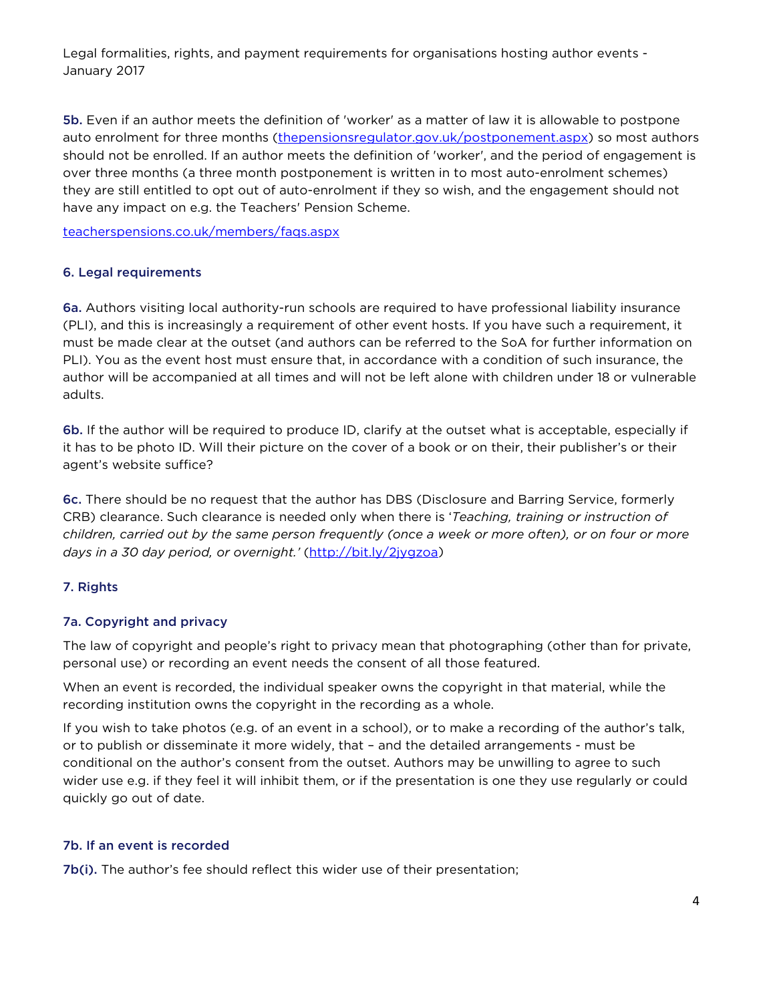5b. Even if an author meets the definition of 'worker' as a matter of law it is allowable to postpone auto enrolment for three months [\(thepensionsregulator.gov.uk/postponement.aspx\)](http://www.thepensionsregulator.gov.uk/postponement.aspx) so most authors should not be enrolled. If an author meets the definition of 'worker', and the period of engagement is over three months (a three month postponement is written in to most auto-enrolment schemes) they are still entitled to opt out of auto-enrolment if they so wish, and the engagement should not have any impact on e.g. the Teachers' Pension Scheme.

[teacherspensions.co.uk/members/faqs.aspx](https://www.teacherspensions.co.uk/members/faqs.aspx)

#### 6. Legal requirements

6a. Authors visiting local authority-run schools are required to have professional liability insurance (PLI), and this is increasingly a requirement of other event hosts. If you have such a requirement, it must be made clear at the outset (and authors can be referred to the SoA for further information on PLI). You as the event host must ensure that, in accordance with a condition of such insurance, the author will be accompanied at all times and will not be left alone with children under 18 or vulnerable adults.

6b. If the author will be required to produce ID, clarify at the outset what is acceptable, especially if it has to be photo ID. Will their picture on the cover of a book or on their, their publisher's or their agent's website suffice?

6c. There should be no request that the author has DBS (Disclosure and Barring Service, formerly CRB) clearance. Such clearance is needed only when there is '*Teaching, training or instruction of children, carried out by the same person frequently (once a week or more often), or on four or more*  days in a 30 day period, or overnight.' [\(http://bit.ly/2jygzoa\)](http://bit.ly/2jygzoa)

## 7. Rights

#### 7a. Copyright and privacy

The law of copyright and people's right to privacy mean that photographing (other than for private, personal use) or recording an event needs the consent of all those featured.

When an event is recorded, the individual speaker owns the copyright in that material, while the recording institution owns the copyright in the recording as a whole.

If you wish to take photos (e.g. of an event in a school), or to make a recording of the author's talk, or to publish or disseminate it more widely, that – and the detailed arrangements - must be conditional on the author's consent from the outset. Authors may be unwilling to agree to such wider use e.g. if they feel it will inhibit them, or if the presentation is one they use regularly or could quickly go out of date.

#### 7b. If an event is recorded

7b(i). The author's fee should reflect this wider use of their presentation;